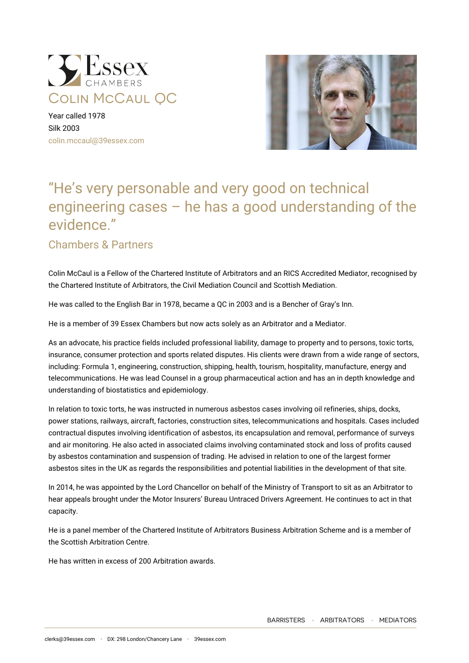

Year called 1978 Silk 2003 [colin.mccaul@39essex.com](mailto:colin.mccaul@39essex.com)



# "He's very personable and very good on technical engineering cases – he has a good understanding of the evidence."

## Chambers & Partners

Colin McCaul is a Fellow of the Chartered Institute of Arbitrators and an RICS Accredited Mediator, recognised by the Chartered Institute of Arbitrators, the Civil Mediation Council and Scottish Mediation.

He was called to the English Bar in 1978, became a QC in 2003 and is a Bencher of Gray's Inn.

He is a member of 39 Essex Chambers but now acts solely as an Arbitrator and a Mediator.

As an advocate, his practice fields included professional liability, damage to property and to persons, toxic torts, insurance, consumer protection and sports related disputes. His clients were drawn from a wide range of sectors, including: Formula 1, engineering, construction, shipping, health, tourism, hospitality, manufacture, energy and telecommunications. He was lead Counsel in a group pharmaceutical action and has an in depth knowledge and understanding of biostatistics and epidemiology.

In relation to toxic torts, he was instructed in numerous asbestos cases involving oil refineries, ships, docks, power stations, railways, aircraft, factories, construction sites, telecommunications and hospitals. Cases included contractual disputes involving identification of asbestos, its encapsulation and removal, performance of surveys and air monitoring. He also acted in associated claims involving contaminated stock and loss of profits caused by asbestos contamination and suspension of trading. He advised in relation to one of the largest former asbestos sites in the UK as regards the responsibilities and potential liabilities in the development of that site.

In 2014, he was appointed by the Lord Chancellor on behalf of the Ministry of Transport to sit as an Arbitrator to hear appeals brought under the Motor Insurers' Bureau Untraced Drivers Agreement. He continues to act in that capacity.

He is a panel member of the Chartered Institute of Arbitrators Business Arbitration Scheme and is a member of the Scottish Arbitration Centre.

He has written in excess of 200 Arbitration awards.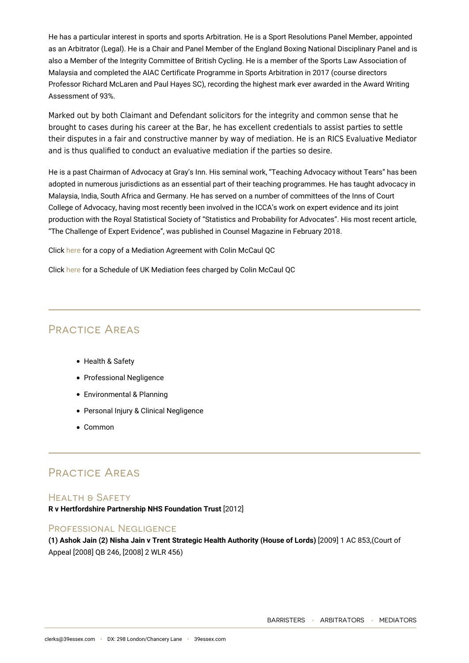He has a particular interest in sports and sports Arbitration. He is a Sport Resolutions Panel Member, appointed as an Arbitrator (Legal). He is a Chair and Panel Member of the England Boxing National Disciplinary Panel and is also a Member of the Integrity Committee of British Cycling. He is a member of the Sports Law Association of Malaysia and completed the AIAC Certificate Programme in Sports Arbitration in 2017 (course directors Professor Richard McLaren and Paul Hayes SC), recording the highest mark ever awarded in the Award Writing Assessment of 93%.

Marked out by both Claimant and Defendant solicitors for the integrity and common sense that he brought to cases during his career at the Bar, he has excellent credentials to assist parties to settle their disputes in a fair and constructive manner by way of mediation. He is an RICS Evaluative Mediator and is thus qualified to conduct an evaluative mediation if the parties so desire.

He is a past Chairman of Advocacy at Gray's Inn. His seminal work, "Teaching Advocacy without Tears" has been adopted in numerous jurisdictions as an essential part of their teaching programmes. He has taught advocacy in Malaysia, India, South Africa and Germany. He has served on a number of committees of the Inns of Court College of Advocacy, having most recently been involved in the ICCA's work on expert evidence and its joint production with the Royal Statistical Society of "Statistics and Probability for Advocates". His most recent article, "The Challenge of Expert Evidence", was published in Counsel Magazine in February 2018.

Click [here](https://www.39essex.com/wp-content/uploads/2014/10/Colin-McCaul-QC-Mediation-Agreement-April-2020.pdf) for a copy of a Mediation Agreement with Colin McCaul QC

Click [here](https://www.39essex.com/wp-content/uploads/2014/10/SCHEDULE-OF-UK-MEDIATION-FEES-FOR-COLIN-McCAUL-QC-wef-April-2021.pdf) for a Schedule of UK Mediation fees charged by Colin McCaul QC

## Practice Areas

- Health & Safety
- Professional Negligence
- Environmental & Planning
- Personal Injury & Clinical Negligence
- Common

## Practice Areas

### HEALTH & SAFFTY

**R v Hertfordshire Partnership NHS Foundation Trust** [2012]

### Professional Negligence

**(1) Ashok Jain (2) Nisha Jain v Trent Strategic Health Authority (House of Lords)** [2009] 1 AC 853,(Court of Appeal [2008] QB 246, [2008] 2 WLR 456)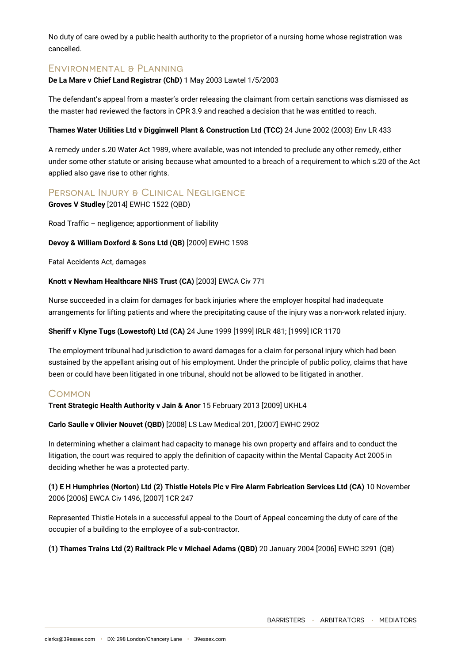No duty of care owed by a public health authority to the proprietor of a nursing home whose registration was cancelled.

#### Environmental & Planning

#### **De La Mare v Chief Land Registrar (ChD)** 1 May 2003 Lawtel 1/5/2003

The defendant's appeal from a master's order releasing the claimant from certain sanctions was dismissed as the master had reviewed the factors in CPR 3.9 and reached a decision that he was entitled to reach.

#### **Thames Water Utilities Ltd v Digginwell Plant & Construction Ltd (TCC)** 24 June 2002 (2003) Env LR 433

A remedy under s.20 Water Act 1989, where available, was not intended to preclude any other remedy, either under some other statute or arising because what amounted to a breach of a requirement to which s.20 of the Act applied also gave rise to other rights.

#### PERSONAL INJURY & CLINICAL NEGLIGENCE

**Groves V Studley** [2014] EWHC 1522 (QBD)

Road Traffic – negligence; apportionment of liability

#### **Devoy & William Doxford & Sons Ltd (QB)** [2009] EWHC 1598

Fatal Accidents Act, damages

#### **Knott v Newham Healthcare NHS Trust (CA)** [2003] EWCA Civ 771

Nurse succeeded in a claim for damages for back injuries where the employer hospital had inadequate arrangements for lifting patients and where the precipitating cause of the injury was a non-work related injury.

#### **Sheriff v Klyne Tugs (Lowestoft) Ltd (CA)** 24 June 1999 [1999] IRLR 481; [1999] ICR 1170

The employment tribunal had jurisdiction to award damages for a claim for personal injury which had been sustained by the appellant arising out of his employment. Under the principle of public policy, claims that have been or could have been litigated in one tribunal, should not be allowed to be litigated in another.

#### **COMMON**

**Trent Strategic Health Authority v Jain & Anor** 15 February 2013 [2009] UKHL4

**Carlo Saulle v Olivier Nouvet (QBD)** [2008] LS Law Medical 201, [2007] EWHC 2902

In determining whether a claimant had capacity to manage his own property and affairs and to conduct the litigation, the court was required to apply the definition of capacity within the Mental Capacity Act 2005 in deciding whether he was a protected party.

**(1) E H Humphries (Norton) Ltd (2) Thistle Hotels Plc v Fire Alarm Fabrication Services Ltd (CA)** 10 November 2006 [2006] EWCA Civ 1496, [2007] 1CR 247

Represented Thistle Hotels in a successful appeal to the Court of Appeal concerning the duty of care of the occupier of a building to the employee of a sub-contractor.

**(1) Thames Trains Ltd (2) Railtrack Plc v Michael Adams (QBD)** 20 January 2004 [2006] EWHC 3291 (QB)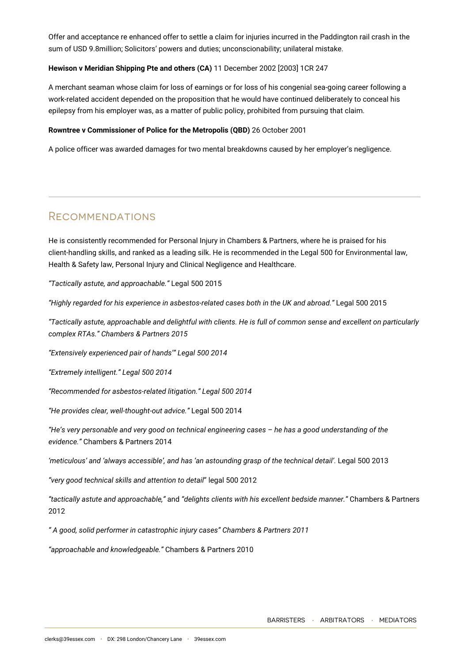Offer and acceptance re enhanced offer to settle a claim for injuries incurred in the Paddington rail crash in the sum of USD 9.8million; Solicitors' powers and duties; unconscionability; unilateral mistake.

#### **Hewison v Meridian Shipping Pte and others (CA)** 11 December 2002 [2003] 1CR 247

A merchant seaman whose claim for loss of earnings or for loss of his congenial sea-going career following a work-related accident depended on the proposition that he would have continued deliberately to conceal his epilepsy from his employer was, as a matter of public policy, prohibited from pursuing that claim.

#### **Rowntree v Commissioner of Police for the Metropolis (QBD)** 26 October 2001

A police officer was awarded damages for two mental breakdowns caused by her employer's negligence.

## **RECOMMENDATIONS**

He is consistently recommended for Personal Injury in Chambers & Partners, where he is praised for his client-handling skills, and ranked as a leading silk. He is recommended in the Legal 500 for Environmental law, Health & Safety law, Personal Injury and Clinical Negligence and Healthcare.

*"Tactically astute, and approachable."* Legal 500 2015

*"Highly regarded for his experience in asbestos-related cases both in the UK and abroad."* Legal 500 2015

*"Tactically astute, approachable and delightful with clients. He is full of common sense and excellent on particularly complex RTAs." Chambers & Partners 2015*

*"Extensively experienced pair of hands'" Legal 500 2014*

*"Extremely intelligent." Legal 500 2014*

*"Recommended for asbestos-related litigation." Legal 500 2014*

*"He provides clear, well-thought-out advice."* Legal 500 2014

*"He's very personable and very good on technical engineering cases – he has a good understanding of the evidence."* Chambers & Partners 2014

'meticulous' and 'always accessible', and has 'an astounding grasp of the technical detail'. Legal 500 2013

*"very good technical skills and attention to detail*" legal 500 2012

*"tactically astute and approachable,"* and *"delights clients with his excellent bedside manner."* Chambers & Partners 2012

*" A good, solid performer in catastrophic injury cases" Chambers & Partners 2011*

*"approachable and knowledgeable."* Chambers & Partners 2010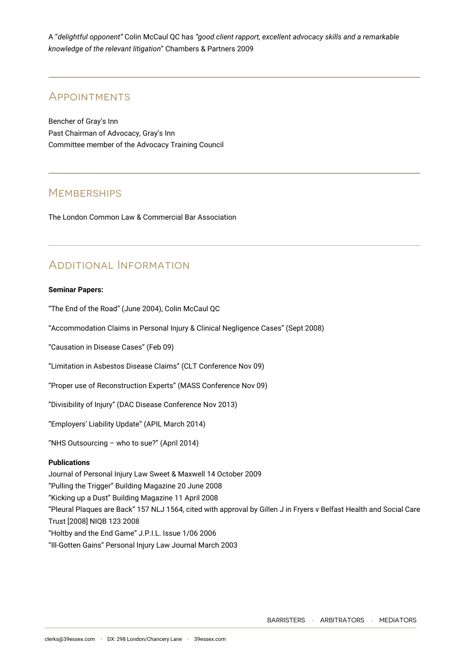A "*delightful opponent"* Colin McCaul QC has *"good client rapport, excellent advocacy skills and a remarkable knowledge of the relevant litigation*" Chambers & Partners 2009

## **APPOINTMENTS**

Bencher of Gray's Inn Past Chairman of Advocacy, Gray's Inn Committee member of the Advocacy Training Council

## **MEMBERSHIPS**

The London Common Law & Commercial Bar Association

## Additional Information

#### **Seminar Papers:**

"The End of the Road" (June 2004), Colin McCaul QC

"Accommodation Claims in Personal Injury & Clinical Negligence Cases" (Sept 2008)

"Causation in Disease Cases" (Feb 09)

"Limitation in Asbestos Disease Claims" (CLT Conference Nov 09)

"Proper use of Reconstruction Experts" (MASS Conference Nov 09)

"Divisibility of Injury" (DAC Disease Conference Nov 2013)

"Employers' Liability Update" (APIL March 2014)

"NHS Outsourcing – who to sue?" (April 2014)

#### **Publications**

Journal of Personal Injury Law Sweet & Maxwell 14 October 2009 "Pulling the Trigger" Building Magazine 20 June 2008 "Kicking up a Dust" Building Magazine 11 April 2008 "Pleural Plaques are Back" 157 NLJ 1564, cited with approval by Gillen J in Fryers v Belfast Health and Social Care Trust [2008] NIQB 123 2008 "Holtby and the End Game" J.P.I.L. Issue 1/06 2006 "Ill-Gotten Gains" Personal Injury Law Journal March 2003